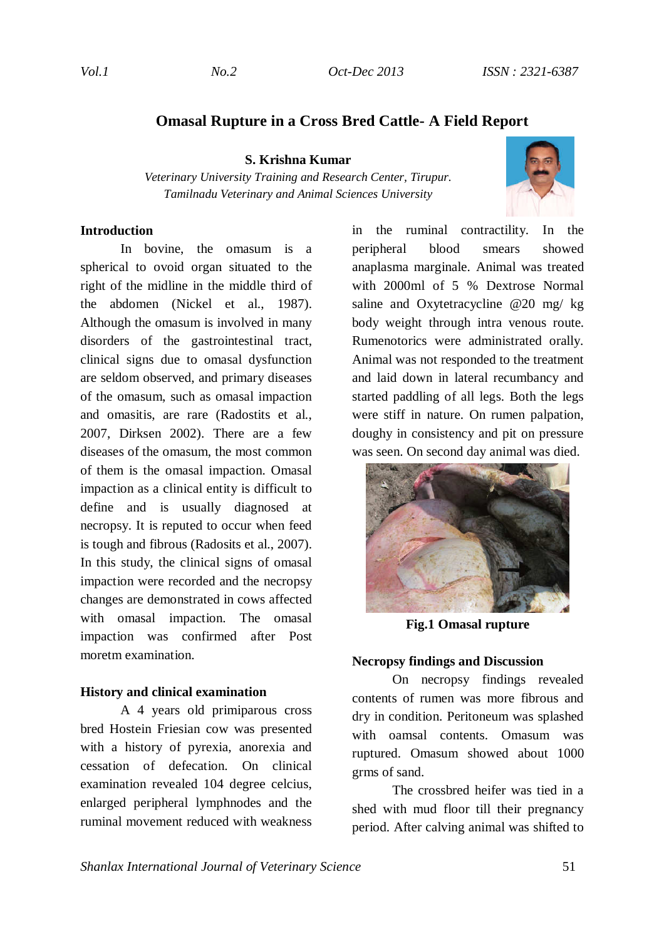# **Omasal Rupture in a Cross Bred Cattle- A Field Report**

**S. Krishna Kumar** 

*Veterinary University Training and Research Center, Tirupur. Tamilnadu Veterinary and Animal Sciences University*



# **Introduction**

In bovine, the omasum is a spherical to ovoid organ situated to the right of the midline in the middle third of the abdomen (Nickel et al., 1987). Although the omasum is involved in many disorders of the gastrointestinal tract, clinical signs due to omasal dysfunction are seldom observed, and primary diseases of the omasum, such as omasal impaction and omasitis, are rare (Radostits et al., 2007, Dirksen 2002). There are a few diseases of the omasum, the most common of them is the omasal impaction. Omasal impaction as a clinical entity is difficult to define and is usually diagnosed at necropsy. It is reputed to occur when feed is tough and fibrous (Radosits et al., 2007). In this study, the clinical signs of omasal impaction were recorded and the necropsy changes are demonstrated in cows affected with omasal impaction. The omasal impaction was confirmed after Post moretm examination.

#### **History and clinical examination**

A 4 years old primiparous cross bred Hostein Friesian cow was presented with a history of pyrexia, anorexia and cessation of defecation. On clinical examination revealed 104 degree celcius, enlarged peripheral lymphnodes and the ruminal movement reduced with weakness in the ruminal contractility. In the peripheral blood smears showed anaplasma marginale. Animal was treated with 2000ml of 5 % Dextrose Normal saline and Oxytetracycline @20 mg/ kg body weight through intra venous route. Rumenotorics were administrated orally. Animal was not responded to the treatment and laid down in lateral recumbancy and started paddling of all legs. Both the legs were stiff in nature. On rumen palpation, doughy in consistency and pit on pressure was seen. On second day animal was died.



**Fig.1 Omasal rupture** 

### **Necropsy findings and Discussion**

On necropsy findings revealed contents of rumen was more fibrous and dry in condition. Peritoneum was splashed with oamsal contents. Omasum was ruptured. Omasum showed about 1000 grms of sand.

The crossbred heifer was tied in a shed with mud floor till their pregnancy period. After calving animal was shifted to